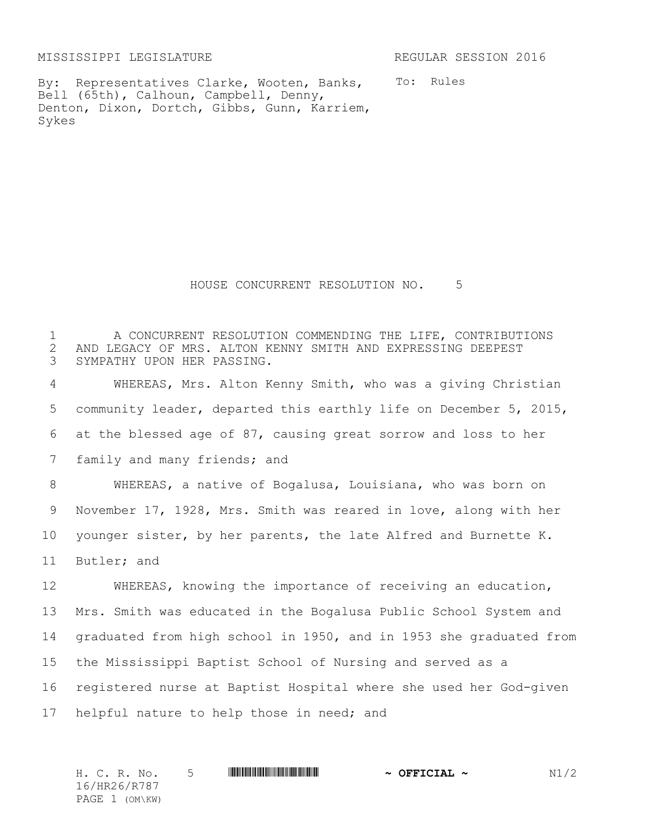MISSISSIPPI LEGISLATURE REGULAR SESSION 2016

By: Representatives Clarke, Wooten, Banks, Bell (65th), Calhoun, Campbell, Denny, Denton, Dixon, Dortch, Gibbs, Gunn, Karriem, Sykes

To: Rules

HOUSE CONCURRENT RESOLUTION NO. 5

 A CONCURRENT RESOLUTION COMMENDING THE LIFE, CONTRIBUTIONS 2 AND LEGACY OF MRS. ALTON KENNY SMITH AND EXPRESSING DEEPEST<br>3 SYMPATHY UPON HER PASSING. SYMPATHY UPON HER PASSING. WHEREAS, Mrs. Alton Kenny Smith, who was a giving Christian community leader, departed this earthly life on December 5, 2015, at the blessed age of 87, causing great sorrow and loss to her 7 family and many friends; and WHEREAS, a native of Bogalusa, Louisiana, who was born on November 17, 1928, Mrs. Smith was reared in love, along with her younger sister, by her parents, the late Alfred and Burnette K. Butler; and WHEREAS, knowing the importance of receiving an education, Mrs. Smith was educated in the Bogalusa Public School System and graduated from high school in 1950, and in 1953 she graduated from the Mississippi Baptist School of Nursing and served as a registered nurse at Baptist Hospital where she used her God-given helpful nature to help those in need; and

H. C. R. No. 5 \*HR26/R787\* **~ OFFICIAL ~** N1/2 16/HR26/R787 PAGE 1 (OM\KW)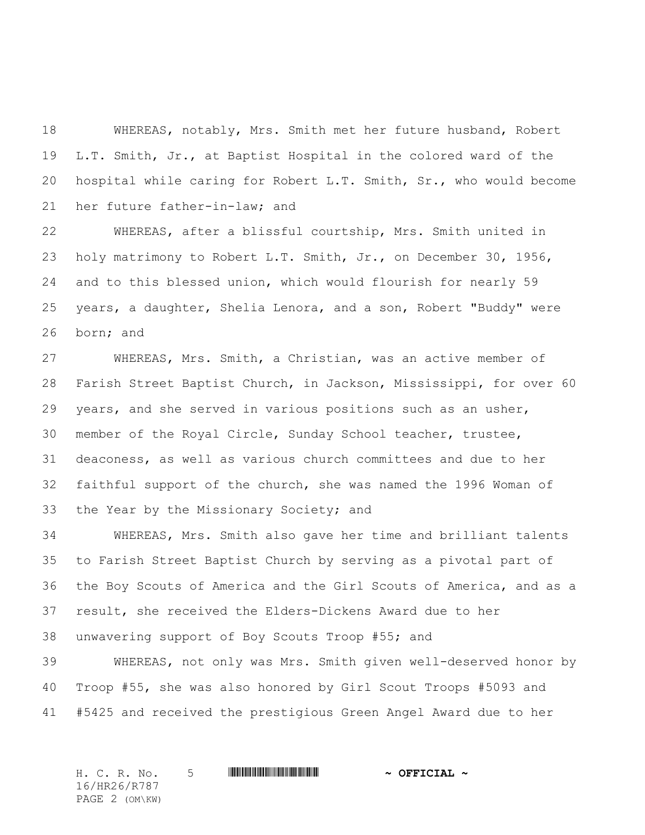WHEREAS, notably, Mrs. Smith met her future husband, Robert L.T. Smith, Jr., at Baptist Hospital in the colored ward of the hospital while caring for Robert L.T. Smith, Sr., who would become her future father-in-law; and

 WHEREAS, after a blissful courtship, Mrs. Smith united in holy matrimony to Robert L.T. Smith, Jr., on December 30, 1956, and to this blessed union, which would flourish for nearly 59 years, a daughter, Shelia Lenora, and a son, Robert "Buddy" were born; and

 WHEREAS, Mrs. Smith, a Christian, was an active member of Farish Street Baptist Church, in Jackson, Mississippi, for over 60 years, and she served in various positions such as an usher, member of the Royal Circle, Sunday School teacher, trustee, deaconess, as well as various church committees and due to her faithful support of the church, she was named the 1996 Woman of the Year by the Missionary Society; and

 WHEREAS, Mrs. Smith also gave her time and brilliant talents to Farish Street Baptist Church by serving as a pivotal part of the Boy Scouts of America and the Girl Scouts of America, and as a result, she received the Elders-Dickens Award due to her unwavering support of Boy Scouts Troop #55; and

 WHEREAS, not only was Mrs. Smith given well-deserved honor by Troop #55, she was also honored by Girl Scout Troops #5093 and #5425 and received the prestigious Green Angel Award due to her

H. C. R. No. 5 \*HR26/R787\* **~ OFFICIAL ~** 16/HR26/R787 PAGE 2 (OM\KW)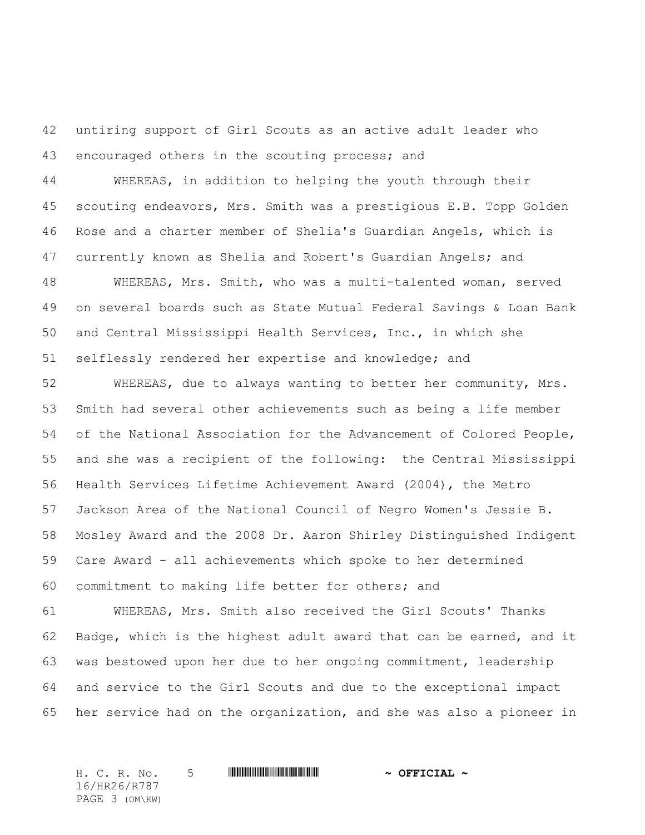untiring support of Girl Scouts as an active adult leader who 43 encouraged others in the scouting process; and

 WHEREAS, in addition to helping the youth through their scouting endeavors, Mrs. Smith was a prestigious E.B. Topp Golden Rose and a charter member of Shelia's Guardian Angels, which is currently known as Shelia and Robert's Guardian Angels; and

 WHEREAS, Mrs. Smith, who was a multi-talented woman, served on several boards such as State Mutual Federal Savings & Loan Bank and Central Mississippi Health Services, Inc., in which she selflessly rendered her expertise and knowledge; and

 WHEREAS, due to always wanting to better her community, Mrs. Smith had several other achievements such as being a life member of the National Association for the Advancement of Colored People, and she was a recipient of the following: the Central Mississippi Health Services Lifetime Achievement Award (2004), the Metro Jackson Area of the National Council of Negro Women's Jessie B. Mosley Award and the 2008 Dr. Aaron Shirley Distinguished Indigent Care Award - all achievements which spoke to her determined commitment to making life better for others; and

 WHEREAS, Mrs. Smith also received the Girl Scouts' Thanks Badge, which is the highest adult award that can be earned, and it was bestowed upon her due to her ongoing commitment, leadership and service to the Girl Scouts and due to the exceptional impact her service had on the organization, and she was also a pioneer in

H. C. R. No. 5 \*HR26/R787\* **~ OFFICIAL ~** 16/HR26/R787 PAGE 3 (OM\KW)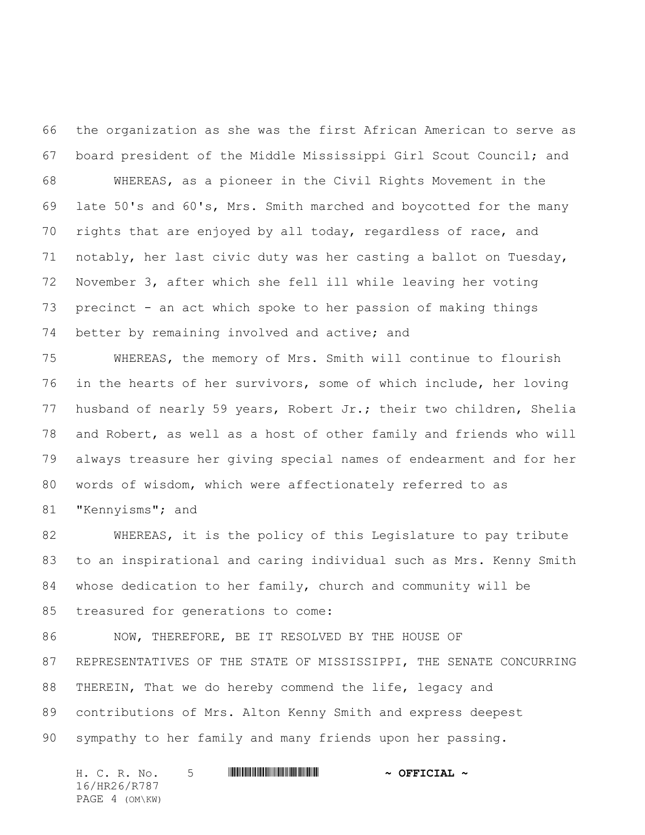the organization as she was the first African American to serve as board president of the Middle Mississippi Girl Scout Council; and

 WHEREAS, as a pioneer in the Civil Rights Movement in the late 50's and 60's, Mrs. Smith marched and boycotted for the many rights that are enjoyed by all today, regardless of race, and notably, her last civic duty was her casting a ballot on Tuesday, November 3, after which she fell ill while leaving her voting precinct - an act which spoke to her passion of making things better by remaining involved and active; and

 WHEREAS, the memory of Mrs. Smith will continue to flourish in the hearts of her survivors, some of which include, her loving husband of nearly 59 years, Robert Jr.; their two children, Shelia and Robert, as well as a host of other family and friends who will always treasure her giving special names of endearment and for her words of wisdom, which were affectionately referred to as "Kennyisms"; and

 WHEREAS, it is the policy of this Legislature to pay tribute to an inspirational and caring individual such as Mrs. Kenny Smith whose dedication to her family, church and community will be treasured for generations to come:

 NOW, THEREFORE, BE IT RESOLVED BY THE HOUSE OF REPRESENTATIVES OF THE STATE OF MISSISSIPPI, THE SENATE CONCURRING THEREIN, That we do hereby commend the life, legacy and contributions of Mrs. Alton Kenny Smith and express deepest sympathy to her family and many friends upon her passing.

H. C. R. No. 5 \*HR26/R787\* **~ OFFICIAL ~** 16/HR26/R787 PAGE 4 (OM\KW)